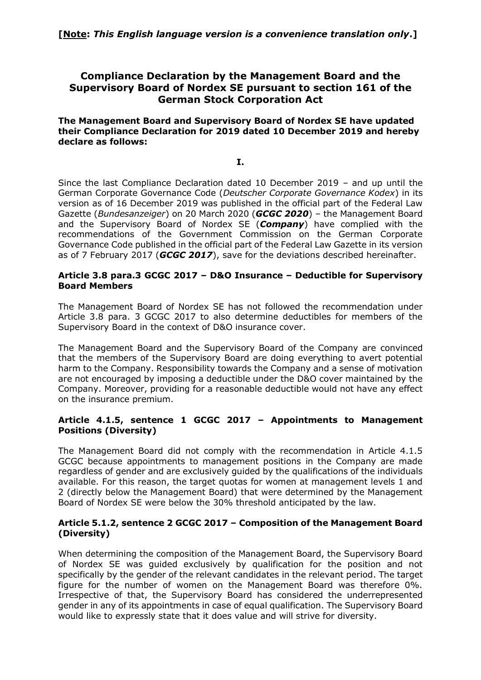# **Compliance Declaration by the Management Board and the Supervisory Board of Nordex SE pursuant to section 161 of the German Stock Corporation Act**

**The Management Board and Supervisory Board of Nordex SE have updated their Compliance Declaration for 2019 dated 10 December 2019 and hereby declare as follows:**

**I.**

Since the last Compliance Declaration dated 10 December 2019 – and up until the German Corporate Governance Code (*Deutscher Corporate Governance Kodex*) in its version as of 16 December 2019 was published in the official part of the Federal Law Gazette (*Bundesanzeiger*) on 20 March 2020 (*GCGC 2020*) – the Management Board and the Supervisory Board of Nordex SE (*Company*) have complied with the recommendations of the Government Commission on the German Corporate Governance Code published in the official part of the Federal Law Gazette in its version as of 7 February 2017 (*GCGC 2017*), save for the deviations described hereinafter.

### **Article 3.8 para.3 GCGC 2017 – D&O Insurance – Deductible for Supervisory Board Members**

The Management Board of Nordex SE has not followed the recommendation under Article 3.8 para. 3 GCGC 2017 to also determine deductibles for members of the Supervisory Board in the context of D&O insurance cover.

The Management Board and the Supervisory Board of the Company are convinced that the members of the Supervisory Board are doing everything to avert potential harm to the Company. Responsibility towards the Company and a sense of motivation are not encouraged by imposing a deductible under the D&O cover maintained by the Company. Moreover, providing for a reasonable deductible would not have any effect on the insurance premium.

# **Article 4.1.5, sentence 1 GCGC 2017 – Appointments to Management Positions (Diversity)**

The Management Board did not comply with the recommendation in Article 4.1.5 GCGC because appointments to management positions in the Company are made regardless of gender and are exclusively guided by the qualifications of the individuals available. For this reason, the target quotas for women at management levels 1 and 2 (directly below the Management Board) that were determined by the Management Board of Nordex SE were below the 30% threshold anticipated by the law.

# **Article 5.1.2, sentence 2 GCGC 2017 – Composition of the Management Board (Diversity)**

When determining the composition of the Management Board, the Supervisory Board of Nordex SE was guided exclusively by qualification for the position and not specifically by the gender of the relevant candidates in the relevant period. The target figure for the number of women on the Management Board was therefore 0%. Irrespective of that, the Supervisory Board has considered the underrepresented gender in any of its appointments in case of equal qualification. The Supervisory Board would like to expressly state that it does value and will strive for diversity.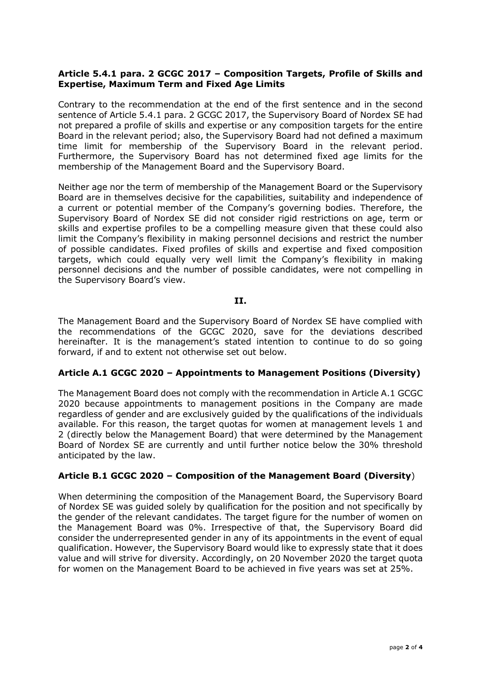### **Article 5.4.1 para. 2 GCGC 2017 – Composition Targets, Profile of Skills and Expertise, Maximum Term and Fixed Age Limits**

Contrary to the recommendation at the end of the first sentence and in the second sentence of Article 5.4.1 para. 2 GCGC 2017, the Supervisory Board of Nordex SE had not prepared a profile of skills and expertise or any composition targets for the entire Board in the relevant period; also, the Supervisory Board had not defined a maximum time limit for membership of the Supervisory Board in the relevant period. Furthermore, the Supervisory Board has not determined fixed age limits for the membership of the Management Board and the Supervisory Board.

Neither age nor the term of membership of the Management Board or the Supervisory Board are in themselves decisive for the capabilities, suitability and independence of a current or potential member of the Company's governing bodies. Therefore, the Supervisory Board of Nordex SE did not consider rigid restrictions on age, term or skills and expertise profiles to be a compelling measure given that these could also limit the Company's flexibility in making personnel decisions and restrict the number of possible candidates. Fixed profiles of skills and expertise and fixed composition targets, which could equally very well limit the Company's flexibility in making personnel decisions and the number of possible candidates, were not compelling in the Supervisory Board's view.

#### **II.**

The Management Board and the Supervisory Board of Nordex SE have complied with the recommendations of the GCGC 2020, save for the deviations described hereinafter. It is the management's stated intention to continue to do so going forward, if and to extent not otherwise set out below.

### **Article A.1 GCGC 2020 – Appointments to Management Positions (Diversity)**

The Management Board does not comply with the recommendation in Article A.1 GCGC 2020 because appointments to management positions in the Company are made regardless of gender and are exclusively guided by the qualifications of the individuals available. For this reason, the target quotas for women at management levels 1 and 2 (directly below the Management Board) that were determined by the Management Board of Nordex SE are currently and until further notice below the 30% threshold anticipated by the law.

### **Article B.1 GCGC 2020 – Composition of the Management Board (Diversity**)

When determining the composition of the Management Board, the Supervisory Board of Nordex SE was guided solely by qualification for the position and not specifically by the gender of the relevant candidates. The target figure for the number of women on the Management Board was 0%. Irrespective of that, the Supervisory Board did consider the underrepresented gender in any of its appointments in the event of equal qualification. However, the Supervisory Board would like to expressly state that it does value and will strive for diversity. Accordingly, on 20 November 2020 the target quota for women on the Management Board to be achieved in five years was set at 25%.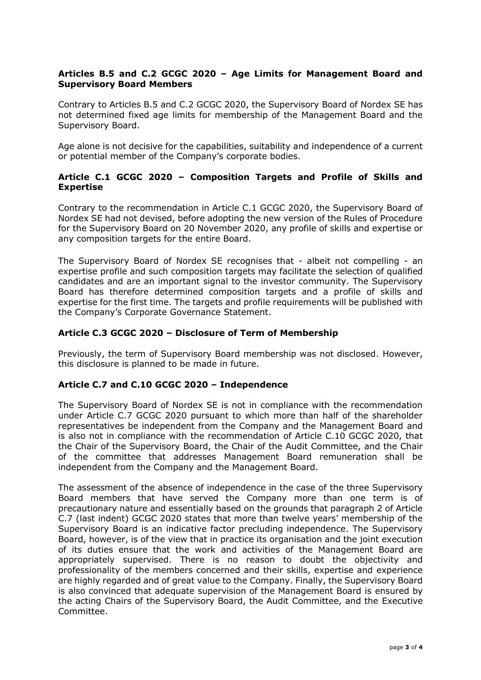# **Articles B.5 and C.2 GCGC 2020 – Age Limits for Management Board and Supervisory Board Members**

Contrary to Articles B.5 and C.2 GCGC 2020, the Supervisory Board of Nordex SE has not determined fixed age limits for membership of the Management Board and the Supervisory Board.

Age alone is not decisive for the capabilities, suitability and independence of a current or potential member of the Company's corporate bodies.

# **Article C.1 GCGC 2020 – Composition Targets and Profile of Skills and Expertise**

Contrary to the recommendation in Article C.1 GCGC 2020, the Supervisory Board of Nordex SE had not devised, before adopting the new version of the Rules of Procedure for the Supervisory Board on 20 November 2020, any profile of skills and expertise or any composition targets for the entire Board.

The Supervisory Board of Nordex SE recognises that - albeit not compelling - an expertise profile and such composition targets may facilitate the selection of qualified candidates and are an important signal to the investor community. The Supervisory Board has therefore determined composition targets and a profile of skills and expertise for the first time. The targets and profile requirements will be published with the Company's Corporate Governance Statement.

### **Article C.3 GCGC 2020 – Disclosure of Term of Membership**

Previously, the term of Supervisory Board membership was not disclosed. However, this disclosure is planned to be made in future.

### **Article C.7 and C.10 GCGC 2020 – Independence**

The Supervisory Board of Nordex SE is not in compliance with the recommendation under Article C.7 GCGC 2020 pursuant to which more than half of the shareholder representatives be independent from the Company and the Management Board and is also not in compliance with the recommendation of Article C.10 GCGC 2020, that the Chair of the Supervisory Board, the Chair of the Audit Committee, and the Chair of the committee that addresses Management Board remuneration shall be independent from the Company and the Management Board.

The assessment of the absence of independence in the case of the three Supervisory Board members that have served the Company more than one term is of precautionary nature and essentially based on the grounds that paragraph 2 of Article C.7 (last indent) GCGC 2020 states that more than twelve years' membership of the Supervisory Board is an indicative factor precluding independence. The Supervisory Board, however, is of the view that in practice its organisation and the joint execution of its duties ensure that the work and activities of the Management Board are appropriately supervised. There is no reason to doubt the objectivity and professionality of the members concerned and their skills, expertise and experience are highly regarded and of great value to the Company. Finally, the Supervisory Board is also convinced that adequate supervision of the Management Board is ensured by the acting Chairs of the Supervisory Board, the Audit Committee, and the Executive Committee.